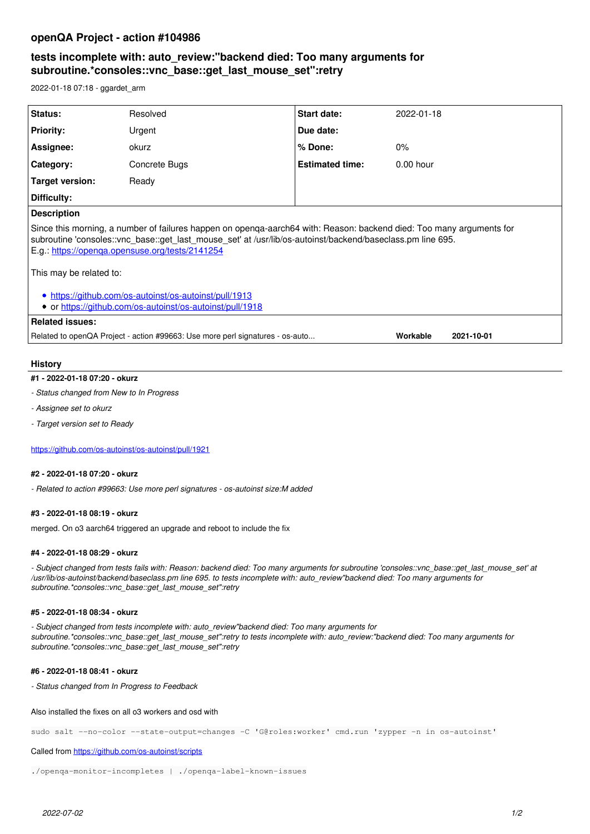## **openQA Project - action #104986**

# **tests incomplete with: auto\_review:"backend died: Too many arguments for subroutine.\*consoles::vnc\_base::get\_last\_mouse\_set":retry**

2022-01-18 07:18 - ggardet\_arm

| <b>Status:</b>                                                                                                                                                                                                                                                                        | Resolved      | <b>Start date:</b>     | 2022-01-18  |
|---------------------------------------------------------------------------------------------------------------------------------------------------------------------------------------------------------------------------------------------------------------------------------------|---------------|------------------------|-------------|
| <b>Priority:</b>                                                                                                                                                                                                                                                                      | Urgent        | Due date:              |             |
| Assignee:                                                                                                                                                                                                                                                                             | okurz         | % Done:                | $0\%$       |
| <b>Category:</b>                                                                                                                                                                                                                                                                      | Concrete Bugs | <b>Estimated time:</b> | $0.00$ hour |
| Target version:                                                                                                                                                                                                                                                                       | Ready         |                        |             |
| Difficulty:                                                                                                                                                                                                                                                                           |               |                        |             |
| <b>Description</b>                                                                                                                                                                                                                                                                    |               |                        |             |
| Since this morning, a number of failures happen on openga-aarch64 with: Reason: backend died: Too many arguments for<br>subroutine 'consoles::vnc_base::get_last_mouse_set' at /usr/lib/os-autoinst/backend/baseclass.pm line 695.<br>E.g.: https://openga.opensuse.org/tests/2141254 |               |                        |             |
| This may be related to:                                                                                                                                                                                                                                                               |               |                        |             |
| • https://github.com/os-autoinst/os-autoinst/pull/1913<br>• or https://github.com/os-autoinst/os-autoinst/pull/1918                                                                                                                                                                   |               |                        |             |
| Related issues:                                                                                                                                                                                                                                                                       |               |                        |             |
| Related to openQA Project - action #99663: Use more perl signatures - os-auto<br>Workable<br>2021-10-01                                                                                                                                                                               |               |                        |             |
|                                                                                                                                                                                                                                                                                       |               |                        |             |

## **History**

#### **#1 - 2022-01-18 07:20 - okurz**

- *Status changed from New to In Progress*
- *Assignee set to okurz*
- *Target version set to Ready*

<https://github.com/os-autoinst/os-autoinst/pull/1921>

#### **#2 - 2022-01-18 07:20 - okurz**

*- Related to action #99663: Use more perl signatures - os-autoinst size:M added*

## **#3 - 2022-01-18 08:19 - okurz**

merged. On o3 aarch64 triggered an upgrade and reboot to include the fix

## **#4 - 2022-01-18 08:29 - okurz**

*- Subject changed from tests fails with: Reason: backend died: Too many arguments for subroutine 'consoles::vnc\_base::get\_last\_mouse\_set' at /usr/lib/os-autoinst/backend/baseclass.pm line 695. to tests incomplete with: auto\_review"backend died: Too many arguments for subroutine.\*consoles::vnc\_base::get\_last\_mouse\_set":retry*

### **#5 - 2022-01-18 08:34 - okurz**

*- Subject changed from tests incomplete with: auto\_review"backend died: Too many arguments for subroutine.\*consoles::vnc\_base::get\_last\_mouse\_set":retry to tests incomplete with: auto\_review:"backend died: Too many arguments for subroutine.\*consoles::vnc\_base::get\_last\_mouse\_set":retry*

## **#6 - 2022-01-18 08:41 - okurz**

*- Status changed from In Progress to Feedback*

Also installed the fixes on all o3 workers and osd with

sudo salt --no-color --state-output=changes -C 'G@roles:worker' cmd.run 'zypper -n in os-autoinst'

#### Called from<https://github.com/os-autoinst/scripts>

./openqa-monitor-incompletes | ./openqa-label-known-issues